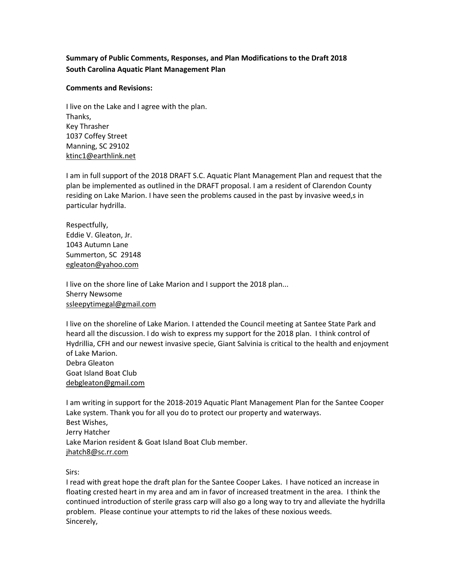# **Summary of Public Comments, Responses, and Plan Modifications to the Draft 2018 South Carolina Aquatic Plant Management Plan**

### **Comments and Revisions:**

I live on the Lake and I agree with the plan. Thanks, Key Thrasher 1037 Coffey Street Manning, SC 29102 [ktinc1@earthlink.net](mailto:ktinc1@earthlink.net)

I am in full support of the 2018 DRAFT S.C. Aquatic Plant Management Plan and request that the plan be implemented as outlined in the DRAFT proposal. I am a resident of Clarendon County residing on Lake Marion. I have seen the problems caused in the past by invasive weed,s in particular hydrilla.

Respectfully, Eddie V. Gleaton, Jr. 1043 Autumn Lane Summerton, SC 29148 [egleaton@yahoo.com](mailto:egleaton@yahoo.com)

I live on the shore line of Lake Marion and I support the 2018 plan... Sherry Newsome [ssleepytimegal@gmail.com](mailto:ssleepytimegal@gmail.com)

I live on the shoreline of Lake Marion. I attended the Council meeting at Santee State Park and heard all the discussion. I do wish to express my support for the 2018 plan. I think control of Hydrillia, CFH and our newest invasive specie, Giant Salvinia is critical to the health and enjoyment of Lake Marion. Debra Gleaton Goat Island Boat Club [debgleaton@gmail.com](mailto:debgleaton@gmail.com)

I am writing in support for the 2018-2019 Aquatic Plant Management Plan for the Santee Cooper Lake system. Thank you for all you do to protect our property and waterways. Best Wishes, Jerry Hatcher Lake Marion resident & Goat Island Boat Club member. [jhatch8@sc.rr.com](mailto:jhatch8@sc.rr.com)

Sirs:

I read with great hope the draft plan for the Santee Cooper Lakes. I have noticed an increase in floating crested heart in my area and am in favor of increased treatment in the area. I think the continued introduction of sterile grass carp will also go a long way to try and alleviate the hydrilla problem. Please continue your attempts to rid the lakes of these noxious weeds. Sincerely,